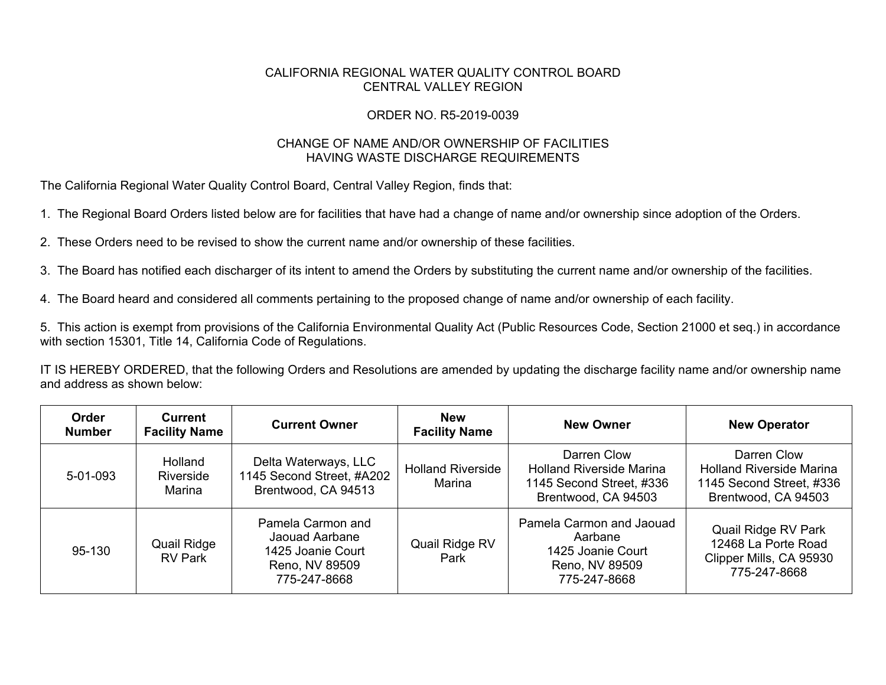## CALIFORNIA REGIONAL WATER QUALITY CONTROL BOARD CENTRAL VALLEY REGION

## ORDER NO. R5-2019-0039

## CHANGE OF NAME AND/OR OWNERSHIP OF FACILITIES HAVING WASTE DISCHARGE REQUIREMENTS

The California Regional Water Quality Control Board, Central Valley Region, finds that:

1. The Regional Board Orders listed below are for facilities that have had a change of name and/or ownership since adoption of the Orders.

2. These Orders need to be revised to show the current name and/or ownership of these facilities.

3. The Board has notified each discharger of its intent to amend the Orders by substituting the current name and/or ownership of the facilities.

4. The Board heard and considered all comments pertaining to the proposed change of name and/or ownership of each facility.

5. This action is exempt from provisions of the California Environmental Quality Act (Public Resources Code, Section 21000 et seq.) in accordance with section 15301, Title 14, California Code of Regulations.

IT IS HEREBY ORDERED, that the following Orders and Resolutions are amended by updating the discharge facility name and/or ownership name and address as shown below:

| Order<br><b>Number</b> | <b>Current</b><br><b>Facility Name</b> | <b>Current Owner</b>                                                                       | <b>New</b><br><b>Facility Name</b> | <b>New Owner</b>                                                                                  | <b>New Operator</b>                                                                               |
|------------------------|----------------------------------------|--------------------------------------------------------------------------------------------|------------------------------------|---------------------------------------------------------------------------------------------------|---------------------------------------------------------------------------------------------------|
| $5 - 01 - 093$         | Holland<br>Riverside<br>Marina         | Delta Waterways, LLC<br>1145 Second Street, #A202<br>Brentwood, CA 94513                   | <b>Holland Riverside</b><br>Marina | Darren Clow<br><b>Holland Riverside Marina</b><br>1145 Second Street, #336<br>Brentwood, CA 94503 | Darren Clow<br><b>Holland Riverside Marina</b><br>1145 Second Street, #336<br>Brentwood, CA 94503 |
| 95-130                 | <b>Quail Ridge</b><br><b>RV Park</b>   | Pamela Carmon and<br>Jaouad Aarbane<br>1425 Joanie Court<br>Reno, NV 89509<br>775-247-8668 | Quail Ridge RV<br>Park             | Pamela Carmon and Jaouad<br>Aarbane<br>1425 Joanie Court<br>Reno, NV 89509<br>775-247-8668        | Quail Ridge RV Park<br>12468 La Porte Road<br>Clipper Mills, CA 95930<br>775-247-8668             |